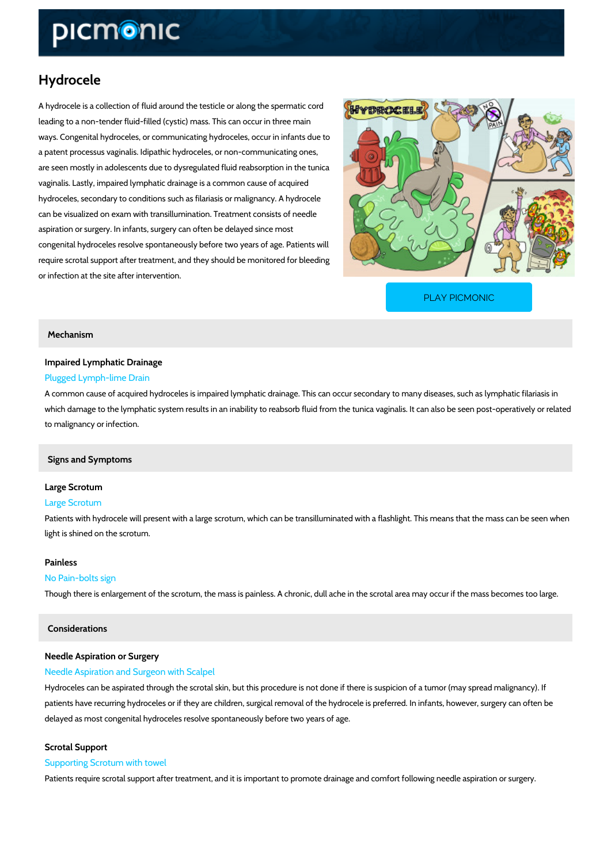# Hydrocele

A hydrocele is a collection of fluid around the testicle or along the spermatic cord leading to a non-tender fluid-filled (cystic) mass. This can occur in three main ways. Congenital hydroceles, or communicating hydroceles, occur in infants due to a patent processus vaginalis. Idipathic hydroceles, or non-communicating ones, are seen mostly in adolescents due to dysregulated fluid reabsorption in the tunica vaginalis. Lastly, impaired lymphatic drainage is a common cause of acquired hydroceles, secondary to conditions such as filariasis or malignancy. A hydrocele can be visualized on exam with transillumination. Treatment consists of needle aspiration or surgery. In infants, surgery can often be delayed since most congenital hydroceles resolve spontaneously before two years of age. Patients will require scrotal support after treatment, and they should be monitored for bleeding or infection at the site after intervention.

[PLAY PICMONIC](https://www.picmonic.com/learn/hydrocele_1900?utm_source=downloadable_content&utm_medium=distributedcontent&utm_campaign=pathways_pdf&utm_content=Hydrocele&utm_ad_group=leads&utm_market=all)

### Mechanism

## Impaired Lymphatic Drainage Plugged Lymph-lime Drain

A common cause of acquired hydroceles is impaired lymphatic drainage. This can occur secon which damage to the lymphatic system results in an inability to reabsorb fluid from the tunica to malignancy or infection.

#### Signs and Symptoms

## Large Scrotum

#### Large Scrotum

Patients with hydrocele will present with a large scrotum, which can be transilluminated with light is shined on the scrotum.

#### Painless

#### No Pain-bolts sign

Though there is enlargement of the scrotum, the mass is painless. A chronic, dull ache in the

#### Considerations

## Needle Aspiration or Surgery

#### Needle Aspiration and Surgeon with Scalpel

Hydroceles can be aspirated through the scrotal skin, but this procedure is not done if there i patients have recurring hydroceles or if they are children, surgical removal of the hydrocele i delayed as most congenital hydroceles resolve spontaneously before two years of age.

#### Scrotal Support

#### Supporting Scrotum with towel

Patients require scrotal support after treatment, and it is important to promote drainage and o